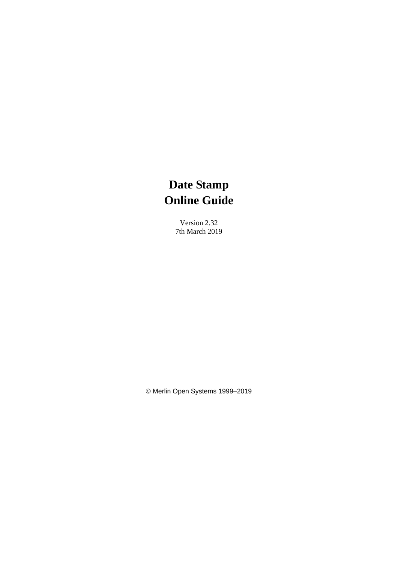Version 2.32 7th March 2019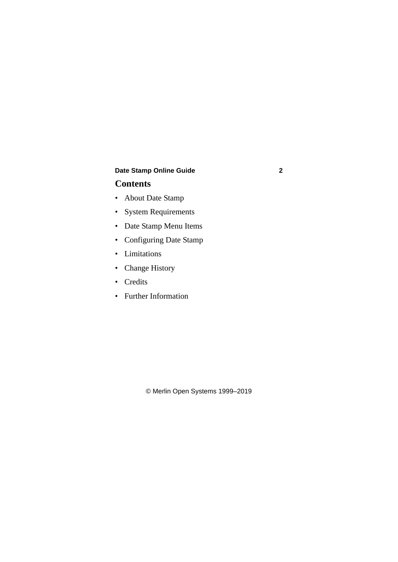# **Contents**

- • [About Date Stamp](#page-2-0)
- • [System Requirements](#page-2-0)
- • [Date Stamp Menu Items](#page-3-0)
- • [Configuring Date Stamp](#page-5-0)
- • [Limitations](#page-21-0)
- • [Change History](#page-22-0)
- • [Credits](#page-27-0)
- • [Further Information](#page-27-0)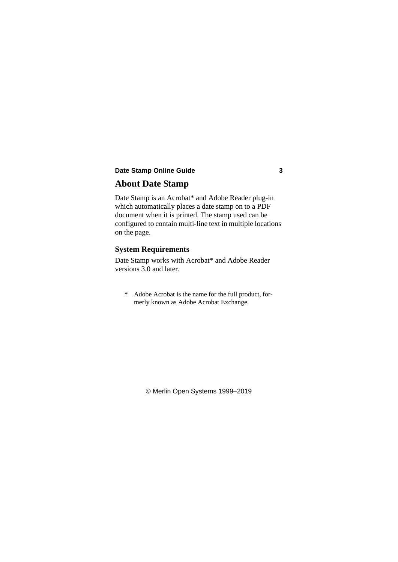# <span id="page-2-0"></span>**About Date Stamp**

Date Stamp is an Acrobat\* and Adobe Reader plug-in which automatically places a date stamp on to a PDF document when it is printed. The stamp used can be configured to contain multi-line text in multiple locations on the page.

### **System Requirements**

Date Stamp works with Acrobat\* and Adobe Reader versions 3.0 and later.

\* Adobe Acrobat is the name for the full product, formerly known as Adobe Acrobat Exchange.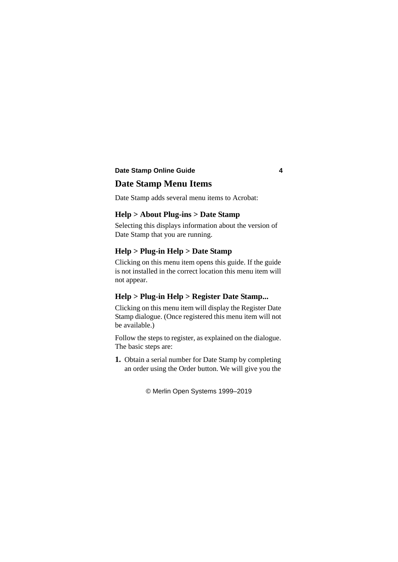# <span id="page-3-0"></span>**Date Stamp Menu Items**

Date Stamp adds several menu items to Acrobat:

### **Help > About Plug-ins > Date Stamp**

Selecting this displays information about the version of Date Stamp that you are running.

### **Help > Plug-in Help > Date Stamp**

Clicking on this menu item opens this guide. If the guide is not installed in the correct location this menu item will not appear.

### **Help > Plug-in Help > Register Date Stamp...**

Clicking on this menu item will display the Register Date Stamp dialogue. (Once registered this menu item will not be available.)

Follow the steps to register, as explained on the dialogue. The basic steps are:

**1.** Obtain a serial number for Date Stamp by completing an order using the Order button. We will give you the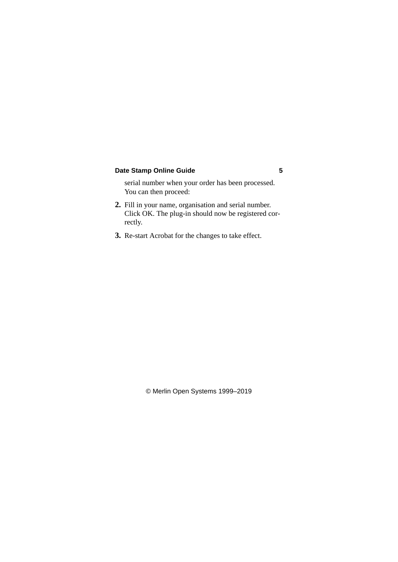serial number when your order has been processed. You can then proceed:

- **2.** Fill in your name, organisation and serial number. Click OK. The plug-in should now be registered correctly.
- **3.** Re-start Acrobat for the changes to take effect.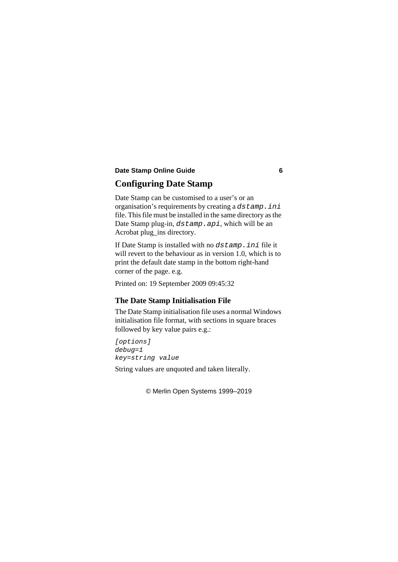# <span id="page-5-0"></span>**Configuring Date Stamp**

Date Stamp can be customised to a user's or an organisation's requirements by creating a *dstamp.ini* file. This file must be installed in the same directory as the Date Stamp plug-in, *dstamp.api*, which will be an Acrobat plug\_ins directory.

If Date Stamp is installed with no *dstamp.ini* file it will revert to the behaviour as in version 1.0, which is to print the default date stamp in the bottom right-hand corner of the page. e.g.

Printed on: 19 September 2009 09:45:32

### **The Date Stamp Initialisation File**

The Date Stamp initialisation file uses a normal Windows initialisation file format, with sections in square braces followed by key value pairs e.g.:

```
[options]
debug=1
key=string value
```
String values are unquoted and taken literally.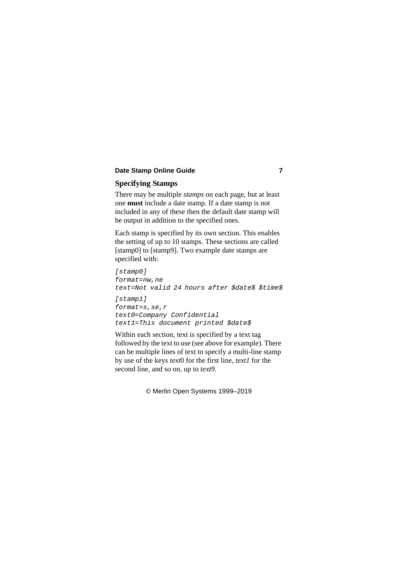## **Specifying Stamps**

There may be multiple *stamps* on each page, but at least one **must** include a date stamp. If a date stamp is not included in any of these then the default date stamp will be output in addition to the specified ones.

Each stamp is specified by its own section. This enables the setting of up to 10 stamps. These sections are called [stamp0] to [stamp9]. Two example date stamps are specified with:

```
[stamp0]
format=nw,ne
text=Not valid 24 hours after $date$ $time$
[stamp1]
format=s,se,r
text0=Company Confidential
text1=This document printed $date$
```
Within each section, text is specified by a text tag followed by the text to use (see above for example). There can be multiple lines of text to specify a multi-line stamp by use of the keys *text*0 for the first line, *text1* for the second line, and so on, up to *text9*.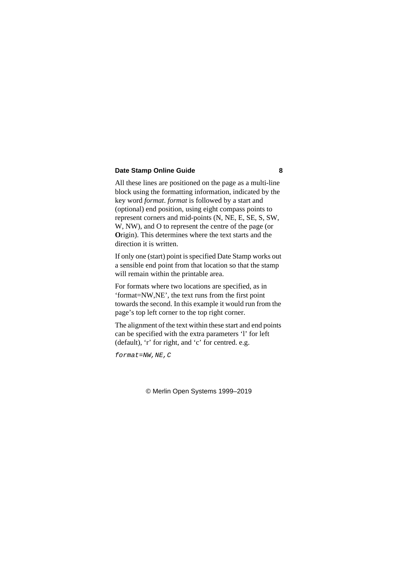All these lines are positioned on the page as a multi-line block using the formatting information, indicated by the key word *format*. *format* is followed by a start and (optional) end position, using eight compass points to represent corners and mid-points (N, NE, E, SE, S, SW, W, NW), and O to represent the centre of the page (or **O**rigin). This determines where the text starts and the direction it is written.

If only one (start) point is specified Date Stamp works out a sensible end point from that location so that the stamp will remain within the printable area.

For formats where two locations are specified, as in 'format=NW,NE', the text runs from the first point towards the second. In this example it would run from the page's top left corner to the top right corner.

The alignment of the text within these start and end points can be specified with the extra parameters 'l' for left (default), 'r' for right, and 'c' for centred. e.g.

*format=NW,NE,C*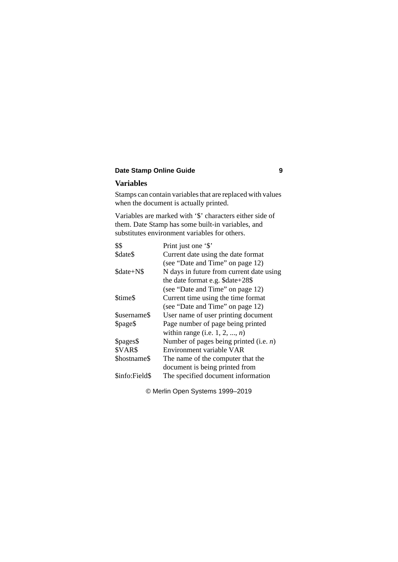### <span id="page-8-0"></span>**Variables**

Stamps can contain variables that are replaced with values when the document is actually printed.

Variables are marked with '\$' characters either side of them. Date Stamp has some built-in variables, and substitutes environment variables for others.

| \$\$           | Print just one '\$'                       |
|----------------|-------------------------------------------|
| \$date\$       | Current date using the date format        |
|                | (see "Date and Time" on page 12)          |
| \$date+N\$     | N days in future from current date using  |
|                | the date format e.g. \$date+28\$          |
|                | (see "Date and Time" on page 12)          |
| \$time\$       | Current time using the time format        |
|                | (see "Date and Time" on page 12)          |
| \$username\$   | User name of user printing document       |
| \$page\$       | Page number of page being printed         |
|                | within range (i.e. $1, 2, , n$ )          |
| \$pages\$      | Number of pages being printed (i.e. $n$ ) |
| \$VAR\$        | Environment variable VAR                  |
| \$hostname\$   | The name of the computer that the         |
|                | document is being printed from            |
| \$info:Field\$ | The specified document information        |
|                |                                           |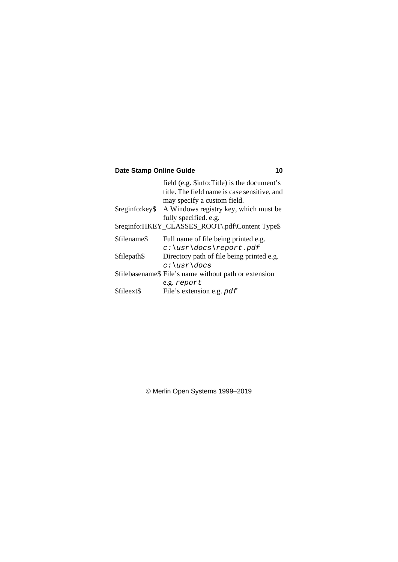|              | field (e.g. \$info:Title) is the document's            |
|--------------|--------------------------------------------------------|
|              | title. The field name is case sensitive, and           |
|              | may specify a custom field.                            |
|              | \$reginfo: key\$ A Windows registry key, which must be |
|              | fully specified. e.g.                                  |
|              | \$reginfo:HKEY_CLASSES_ROOT\.pdf\Content Type\$        |
| \$filename\$ | Full name of file being printed e.g.                   |
|              | $c:\us r\ldots\>$ report.pdf                           |
| \$filepath\$ | Directory path of file being printed e.g.              |
|              | $c$ :\usr\docs                                         |
|              | \$filebasename\$ File's name without path or extension |
|              | e.g. report                                            |
| \$fileext\$  | File's extension e.g. pdf                              |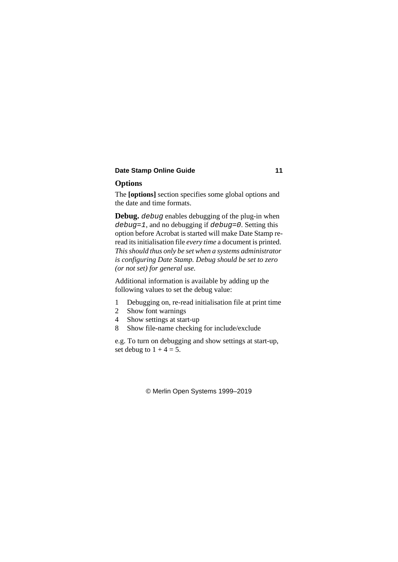### <span id="page-10-0"></span>**Options**

The **[options]** section specifies some global options and the date and time formats.

**Debug.** *debug* enables debugging of the plug-in when *debug=1*, and no debugging if *debug=0*. Setting this option before Acrobat is started will make Date Stamp reread its initialisation file *every time* a document is printed. *This should thus only be set when a systems administrator is configuring Date Stamp. Debug should be set to zero (or not set) for general use.*

Additional information is available by adding up the following values to set the debug value:

- 1 Debugging on, re-read initialisation file at print time
- 2 Show font warnings
- 4 Show settings at start-up
- 8 Show file-name checking for include/exclude

e.g. To turn on debugging and show settings at start-up, set debug to  $1 + 4 = 5$ .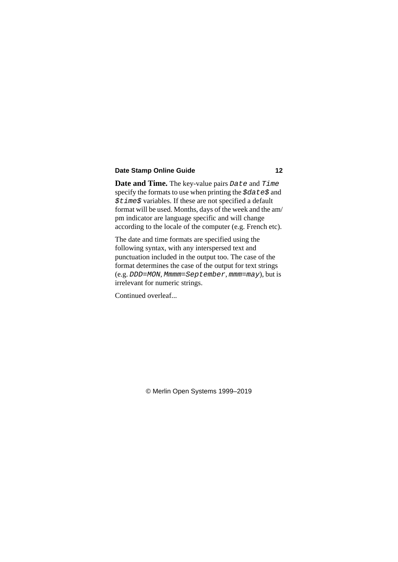<span id="page-11-0"></span>**Date and Time.** The key-value pairs *Date* and *Time* specify the formats to use when printing the *\$date\$* and *\$time\$* variables. If these are not specified a default format will be used. Months, days of the week and the am/ pm indicator are language specific and will change according to the locale of the computer (e.g. French etc).

The date and time formats are specified using the following syntax, with any interspersed text and punctuation included in the output too. The case of the format determines the case of the output for text strings (e.g. *DDD=MON*, *Mmmm=September*, *mmm=may*), but is irrelevant for numeric strings.

Continued overleaf...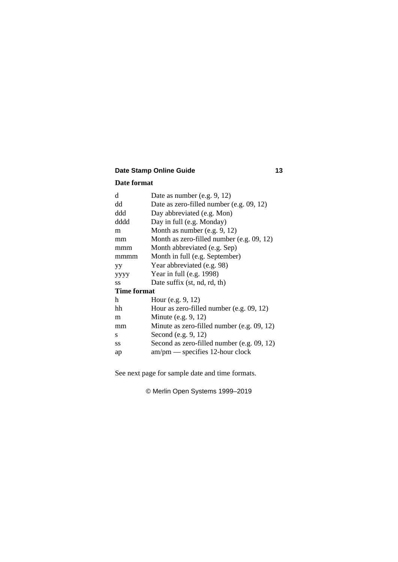#### **Date format**

| Date as number (e.g. $9, 12$ )             |  |  |
|--------------------------------------------|--|--|
| Date as zero-filled number (e.g. 09, 12)   |  |  |
| Day abbreviated (e.g. Mon)                 |  |  |
| Day in full (e.g. Monday)                  |  |  |
| Month as number (e.g. 9, 12)               |  |  |
| Month as zero-filled number (e.g. 09, 12)  |  |  |
| Month abbreviated (e.g. Sep)               |  |  |
| Month in full (e.g. September)             |  |  |
| Year abbreviated (e.g. 98)                 |  |  |
| Year in full (e.g. 1998)                   |  |  |
| Date suffix (st, nd, rd, th)               |  |  |
| <b>Time format</b>                         |  |  |
| Hour (e.g. $9, 12$ )                       |  |  |
| Hour as zero-filled number (e.g. 09, 12)   |  |  |
| Minute (e.g. $9, 12$ )                     |  |  |
| Minute as zero-filled number (e.g. 09, 12) |  |  |
| Second (e.g. 9, 12)                        |  |  |
| Second as zero-filled number (e.g. 09, 12) |  |  |
| $am/pm$ - specifies 12-hour clock          |  |  |
|                                            |  |  |

See next page for sample date and time formats.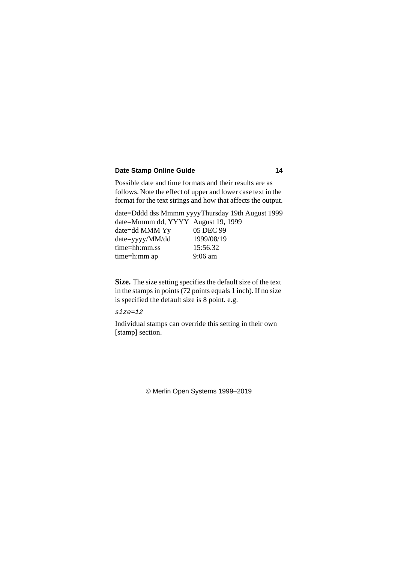Possible date and time formats and their results are as follows. Note the effect of upper and lower case text in the format for the text strings and how that affects the output.

date=Dddd dss Mmmm yyyyThursday 19th August 1999 date=Mmmm dd, YYYY August 19, 1999 date=dd MMM Yy 05 DEC 99 date=yyyy/MM/dd 1999/08/19 time=hh:mm.ss 15:56.32 time=h:mm ap 9:06 am

**Size.** The size setting specifies the default size of the text in the stamps in points (72 points equals 1 inch). If no size is specified the default size is 8 point. e.g.

*size=12*

Individual stamps can override this setting in their own [stamp] section.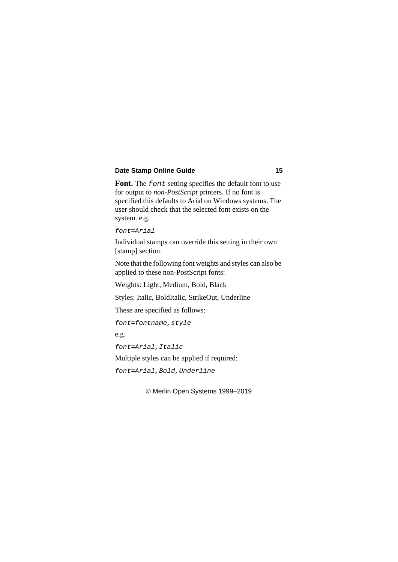**Font.** The *font* setting specifies the default font to use for output to *non-PostScript* printers. If no font is specified this defaults to Arial on Windows systems. The user should check that the selected font exists on the system. e.g.

*font=Arial*

Individual stamps can override this setting in their own [stamp] section.

Note that the following font weights and styles can also be applied to these non-PostScript fonts:

Weights: Light, Medium, Bold, Black

Styles: Italic, BoldItalic, StrikeOut, Underline

These are specified as follows:

*font=fontname,style*

e.g.

*font=Arial,Italic*

Multiple styles can be applied if required:

*font=Arial,Bold,Underline*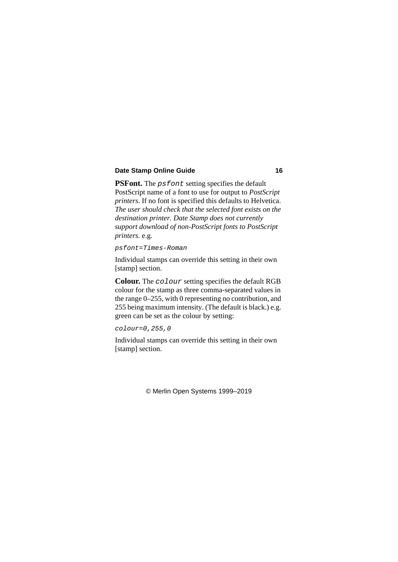**PSFont.** The *psfont* setting specifies the default PostScript name of a font to use for output to *PostScript printers*. If no font is specified this defaults to Helvetica. *The user should check that the selected font exists on the destination printer. Date Stamp does not currently support download of non-PostScript fonts to PostScript printers.* e.g.

```
psfont=Times-Roman
```
Individual stamps can override this setting in their own [stamp] section.

**Colour.** The *colour* setting specifies the default RGB colour for the stamp as three comma-separated values in the range 0–255, with 0 representing no contribution, and 255 being maximum intensity. (The default is black.) e.g. green can be set as the colour by setting:

```
colour=0,255,0
```
Individual stamps can override this setting in their own [stamp] section.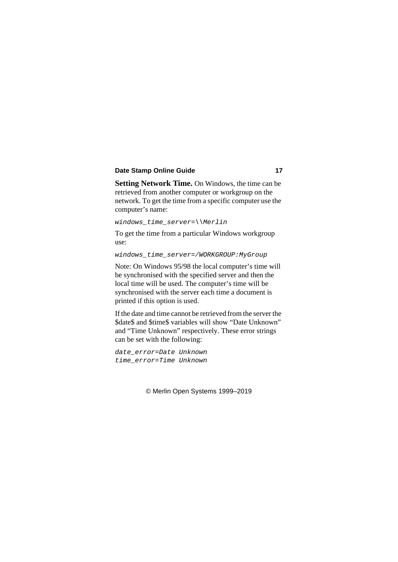**Setting Network Time.** On Windows, the time can be retrieved from another computer or workgroup on the network. To get the time from a specific computer use the computer's name:

```
windows_time_server=\\Merlin
```
To get the time from a particular Windows workgroup use:

```
windows_time_server=/WORKGROUP:MyGroup
```
Note: On Windows 95/98 the local computer's time will be synchronised with the specified server and then the local time will be used. The computer's time will be synchronised with the server each time a document is printed if this option is used.

If the date and time cannot be retrieved from the server the \$date\$ and \$time\$ variables will show "Date Unknown" and "Time Unknown" respectively. These error strings can be set with the following:

```
date_error=Date Unknown
time_error=Time Unknown
```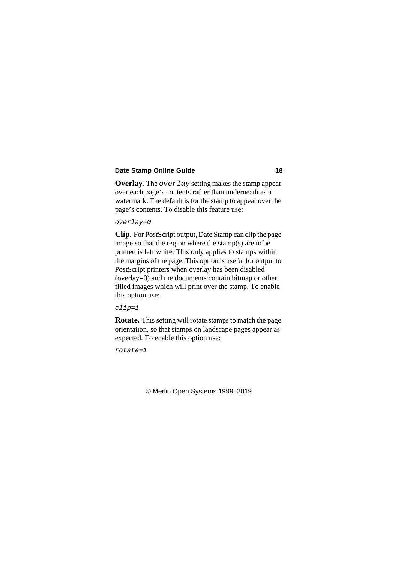<span id="page-17-0"></span>**Overlay.** The *overlay* setting makes the stamp appear over each page's contents rather than underneath as a watermark. The default is for the stamp to appear over the page's contents. To disable this feature use:

*overlay=0*

**Clip.** For PostScript output, Date Stamp can clip the page image so that the region where the stamp(s) are to be printed is left white. This only applies to stamps within the margins of the page. This option is useful for output to PostScript printers when overlay has been disabled (overlay=0) and the documents contain bitmap or other filled images which will print over the stamp. To enable this option use:

*clip=1*

**Rotate.** This setting will rotate stamps to match the page orientation, so that stamps on landscape pages appear as expected. To enable this option use:

*rotate=1*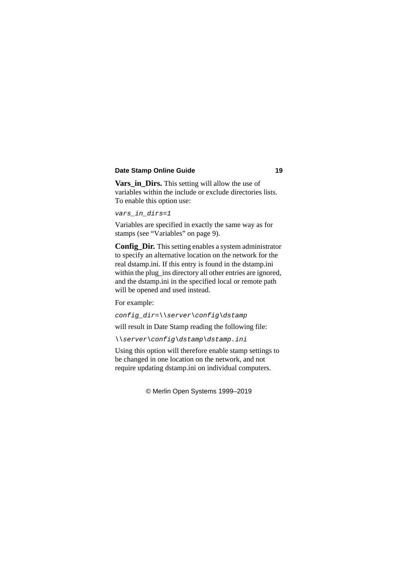<span id="page-18-0"></span>**Vars** in Dirs. This setting will allow the use of variables within the include or exclude directories lists. To enable this option use:

```
vars_in_dirs=1
```
Variables are specified in exactly the same way as for stamps (see ["Variables" on page 9](#page-8-0)).

**Config. Dir.** This setting enables a system administrator to specify an alternative location on the network for the real dstamp.ini. If this entry is found in the dstamp.ini within the plug ins directory all other entries are ignored, and the dstamp.ini in the specified local or remote path will be opened and used instead.

For example:

```
config_dir=\\server\config\dstamp
```
will result in Date Stamp reading the following file:

```
\\server\config\dstamp\dstamp.ini
```
Using this option will therefore enable stamp settings to be changed in one location on the network, and not require updating dstamp.ini on individual computers.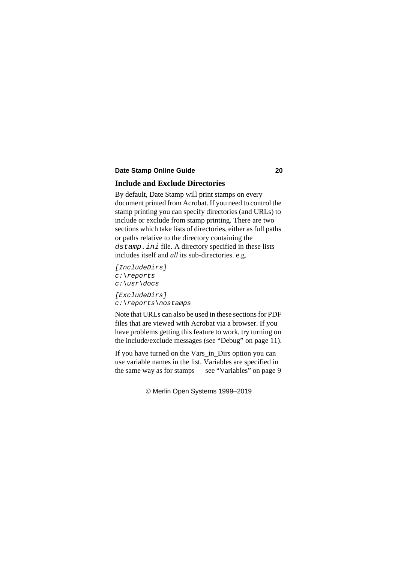### <span id="page-19-0"></span>**Include and Exclude Directories**

By default, Date Stamp will print stamps on every document printed from Acrobat. If you need to control the stamp printing you can specify directories (and URLs) to include or exclude from stamp printing. There are two sections which take lists of directories, either as full paths or paths relative to the directory containing the *dstamp.ini* file. A directory specified in these lists includes itself and *all* its sub-directories. e.g.

```
[IncludeDirs]
c:\reports
c:\usr\docs
[ExcludeDirs]
c:\reports\nostamps
```
Note that URLs can also be used in these sections for PDF files that are viewed with Acrobat via a browser. If you have problems getting this feature to work, try turning on the include/exclude messages (see ["Debug" on page 11](#page-10-0)).

If you have turned on the [Vars\\_in\\_Dirs](#page-18-0) option you can use variable names in the list. Variables are specified in the same way as for stamps — see ["Variables" on page 9](#page-8-0)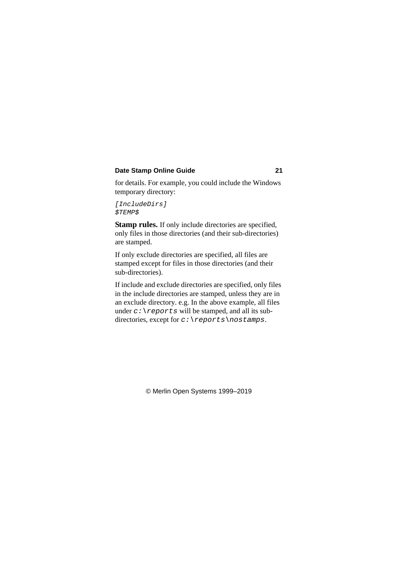for details. For example, you could include the Windows temporary directory:

```
[IncludeDirs]
$TEMP$
```
**Stamp rules.** If only include directories are specified, only files in those directories (and their sub-directories) are stamped.

If only exclude directories are specified, all files are stamped except for files in those directories (and their sub-directories).

If include and exclude directories are specified, only files in the include directories are stamped, unless they are in an exclude directory. e.g. In the above example, all files under  $c:$  \reports will be stamped, and all its subdirectories, except for *c:\reports\nostamps*.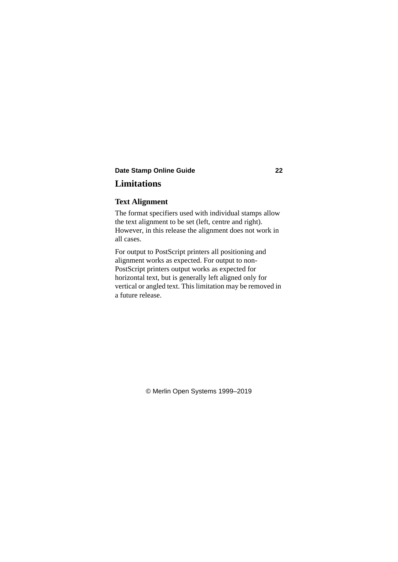# <span id="page-21-0"></span>**Limitations**

### **Text Alignment**

The format specifiers used with individual stamps allow the text alignment to be set (left, centre and right). However, in this release the alignment does not work in all cases.

For output to PostScript printers all positioning and alignment works as expected. For output to non-PostScript printers output works as expected for horizontal text, but is generally left aligned only for vertical or angled text. This limitation may be removed in a future release.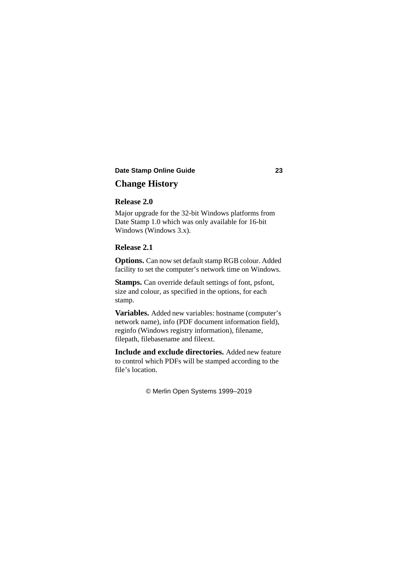# <span id="page-22-0"></span>**Change History**

### **Release 2.0**

Major upgrade for the 32-bit Windows platforms from Date Stamp 1.0 which was only available for 16-bit Windows (Windows 3.x).

#### **Release 2.1**

**Options.** Can now set default stamp RGB colour. Added facility to set the computer's network time on Windows.

**Stamps.** Can override default settings of font, psfont, size and colour, as specified in the options, for each stamp.

**Variables.** Added new variables: hostname (computer's network name), info (PDF document information field), reginfo (Windows registry information), filename, filepath, filebasename and fileext.

**Include and exclude directories.** Added new feature to control which PDFs will be stamped according to the file's location.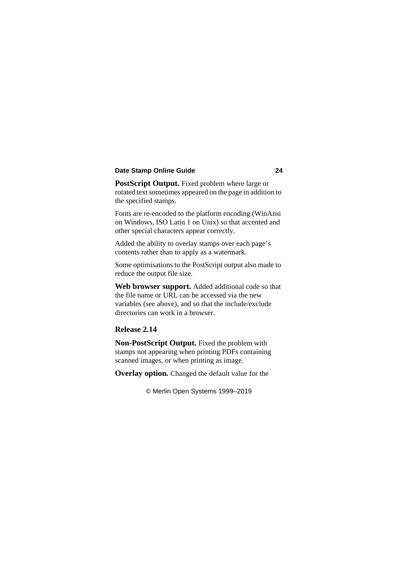**PostScript Output.** Fixed problem where large or rotated text sometimes appeared on the page in addition to the specified stamps.

Fonts are re-encoded to the platform encoding (WinAnsi on Windows, ISO Latin 1 on Unix) so that accented and other special characters appear correctly.

Added the ability to overlay stamps over each page's contents rather than to apply as a watermark.

Some optimisations to the PostScript output also made to reduce the output file size.

**Web browser support.** Added additional code so that the file name or URL can be accessed via the new variables (see above), and so that the include/exclude directories can work in a browser.

### **Release 2.14**

**Non-PostScript Output.** Fixed the problem with stamps not appearing when printing PDFs containing scanned images, or when printing as image.

**Overlay option.** Changed the default value for the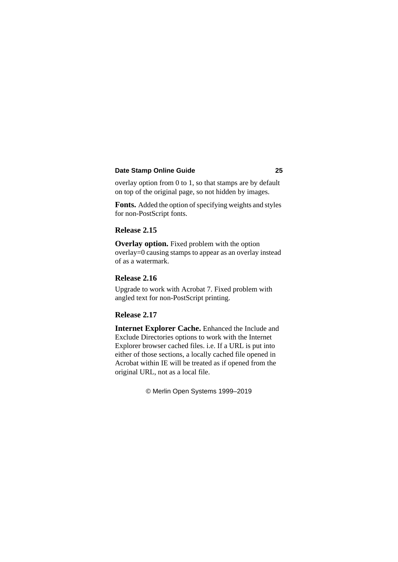overlay option from 0 to 1, so that stamps are by default on top of the original page, so not hidden by images.

**Fonts.** Added the option of specifying weights and styles for non-PostScript fonts.

### **Release 2.15**

**Overlay option.** Fixed problem with the option overlay=0 causing stamps to appear as an overlay instead of as a watermark.

### **Release 2.16**

Upgrade to work with Acrobat 7. Fixed problem with angled text for non-PostScript printing.

### **Release 2.17**

**Internet Explorer Cache.** Enhanced the Include and [Exclude Directories](#page-19-0) options to work with the Internet Explorer browser cached files. i.e. If a URL is put into either of those sections, a locally cached file opened in Acrobat within IE will be treated as if opened from the original URL, not as a local file.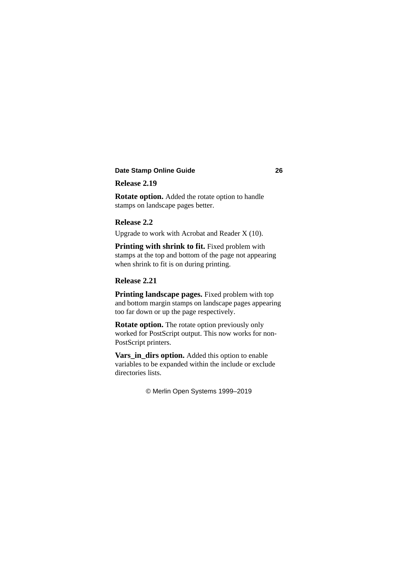### **Release 2.19**

**[Rotate](#page-17-0) option.** Added the rotate option to handle stamps on landscape pages better.

### **Release 2.2**

Upgrade to work with Acrobat and Reader X (10).

Printing with shrink to fit. Fixed problem with stamps at the top and bottom of the page not appearing when shrink to fit is on during printing.

### **Release 2.21**

**Printing landscape pages.** Fixed problem with top and bottom margin stamps on landscape pages appearing too far down or up the page respectively.

**[Rotate](#page-17-0) option.** The rotate option previously only worked for PostScript output. This now works for non-PostScript printers.

**Vars** in dirs option. Added this option to enable variables to be expanded within the include or exclude directories lists.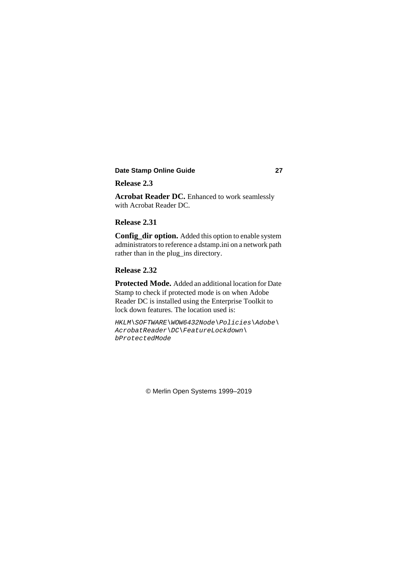### **Release 2.3**

**Acrobat Reader DC.** Enhanced to work seamlessly with Acrobat Reader DC.

### **Release 2.31**

**Config\_dir option.** Added this option to enable system administrators to reference a dstamp.ini on a network path rather than in the plug ins directory.

### **Release 2.32**

**Protected Mode.** Added an additional location for Date Stamp to check if protected mode is on when Adobe Reader DC is installed using the Enterprise Toolkit to lock down features. The location used is:

*HKLM\SOFTWARE\WOW6432Node\Policies\Adobe\ AcrobatReader\DC\FeatureLockdown\ bProtectedMode*